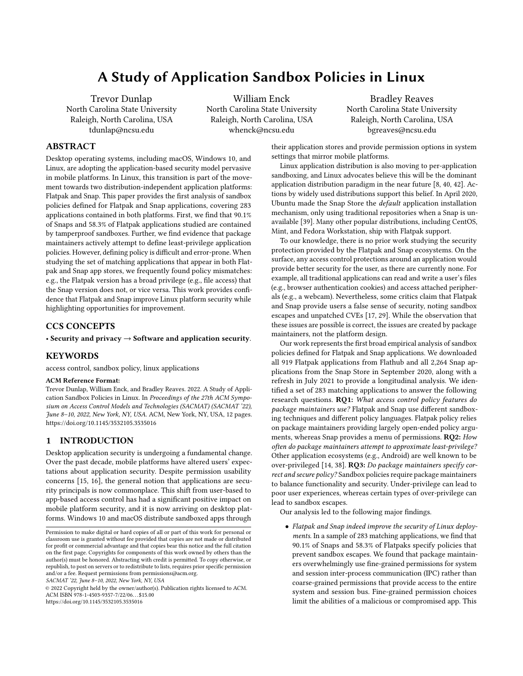# A Study of Application Sandbox Policies in Linux

Trevor Dunlap North Carolina State University Raleigh, North Carolina, USA tdunlap@ncsu.edu

William Enck North Carolina State University Raleigh, North Carolina, USA whenck@ncsu.edu

Bradley Reaves North Carolina State University Raleigh, North Carolina, USA bgreaves@ncsu.edu

# ABSTRACT

Desktop operating systems, including macOS, Windows 10, and Linux, are adopting the application-based security model pervasive in mobile platforms. In Linux, this transition is part of the movement towards two distribution-independent application platforms: Flatpak and Snap. This paper provides the first analysis of sandbox policies defined for Flatpak and Snap applications, covering 283 applications contained in both platforms. First, we find that 90.1% of Snaps and 58.3% of Flatpak applications studied are contained by tamperproof sandboxes. Further, we find evidence that package maintainers actively attempt to define least-privilege application policies. However, defining policy is difficult and error-prone. When studying the set of matching applications that appear in both Flatpak and Snap app stores, we frequently found policy mismatches: e.g., the Flatpak version has a broad privilege (e.g., file access) that the Snap version does not, or vice versa. This work provides confidence that Flatpak and Snap improve Linux platform security while highlighting opportunities for improvement.

# CCS CONCEPTS

• Security and privacy  $\rightarrow$  Software and application security.

# **KEYWORDS**

access control, sandbox policy, linux applications

#### ACM Reference Format:

Trevor Dunlap, William Enck, and Bradley Reaves. 2022. A Study of Application Sandbox Policies in Linux. In Proceedings of the 27th ACM Symposium on Access Control Models and Technologies (SACMAT) (SACMAT '22), June 8–10, 2022, New York, NY, USA. ACM, New York, NY, USA, [12](#page-11-0) pages. <https://doi.org/10.1145/3532105.3535016>

# 1 INTRODUCTION

Desktop application security is undergoing a fundamental change. Over the past decade, mobile platforms have altered users' expectations about application security. Despite permission usability concerns [\[15,](#page-11-1) [16\]](#page-11-2), the general notion that applications are security principals is now commonplace. This shift from user-based to app-based access control has had a significant positive impact on mobile platform security, and it is now arriving on desktop platforms. Windows 10 and macOS distribute sandboxed apps through

SACMAT '22, June 8–10, 2022, New York, NY, USA

© 2022 Copyright held by the owner/author(s). Publication rights licensed to ACM. ACM ISBN 978-1-4503-9357-7/22/06. . . \$15.00 <https://doi.org/10.1145/3532105.3535016>

their application stores and provide permission options in system settings that mirror mobile platforms.

Linux application distribution is also moving to per-application sandboxing, and Linux advocates believe this will be the dominant application distribution paradigm in the near future [\[8,](#page-11-3) [40,](#page-11-4) [42\]](#page-11-5). Actions by widely used distributions support this belief. In April 2020, Ubuntu made the Snap Store the default application installation mechanism, only using traditional repositories when a Snap is unavailable [\[39\]](#page-11-6). Many other popular distributions, including CentOS, Mint, and Fedora Workstation, ship with Flatpak support.

To our knowledge, there is no prior work studying the security protection provided by the Flatpak and Snap ecosystems. On the surface, any access control protections around an application would provide better security for the user, as there are currently none. For example, all traditional applications can read and write a user's files (e.g., browser authentication cookies) and access attached peripherals (e.g., a webcam). Nevertheless, some critics claim that Flatpak and Snap provide users a false sense of security, noting sandbox escapes and unpatched CVEs [\[17,](#page-11-7) [29\]](#page-11-8). While the observation that these issues are possible is correct, the issues are created by package maintainers, not the platform design.

Our work represents the first broad empirical analysis of sandbox policies defined for Flatpak and Snap applications. We downloaded all 919 Flatpak applications from Flathub and all 2,264 Snap applications from the Snap Store in September 2020, along with a refresh in July 2021 to provide a longitudinal analysis. We identified a set of 283 matching applications to answer the following research questions. RQ1: What access control policy features do package maintainers use? Flatpak and Snap use different sandboxing techniques and different policy languages. Flatpak policy relies on package maintainers providing largely open-ended policy arguments, whereas Snap provides a menu of permissions. RQ2: How often do package maintainers attempt to approximate least-privilege? Other application ecosystems (e.g., Android) are well known to be over-privileged [\[14,](#page-11-9) [38\]](#page-11-10). RQ3: Do package maintainers specify correct and secure policy? Sandbox policies require package maintainers to balance functionality and security. Under-privilege can lead to poor user experiences, whereas certain types of over-privilege can lead to sandbox escapes.

Our analysis led to the following major findings.

• Flatpak and Snap indeed improve the security of Linux deployments. In a sample of 283 matching applications, we find that 90.1% of Snaps and 58.3% of Flatpaks specify policies that prevent sandbox escapes. We found that package maintainers overwhelmingly use fine-grained permissions for system and session inter-process communication (IPC) rather than coarse-grained permissions that provide access to the entire system and session bus. Fine-grained permission choices limit the abilities of a malicious or compromised app. This

Permission to make digital or hard copies of all or part of this work for personal or classroom use is granted without fee provided that copies are not made or distributed for profit or commercial advantage and that copies bear this notice and the full citation on the first page. Copyrights for components of this work owned by others than the author(s) must be honored. Abstracting with credit is permitted. To copy otherwise, or republish, to post on servers or to redistribute to lists, requires prior specific permission and/or a fee. Request permissions from permissions@acm.org.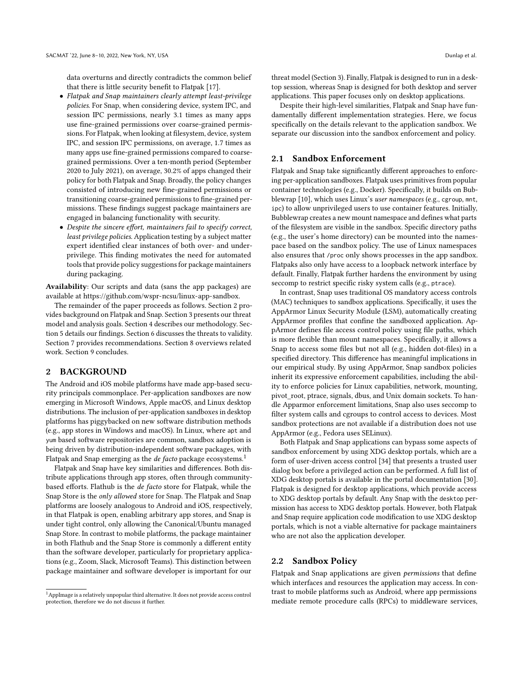data overturns and directly contradicts the common belief that there is little security benefit to Flatpak [\[17\]](#page-11-7).

- Flatpak and Snap maintainers clearly attempt least-privilege policies. For Snap, when considering device, system IPC, and session IPC permissions, nearly 3.1 times as many apps use fine-grained permissions over coarse-grained permissions. For Flatpak, when looking at filesystem, device, system IPC, and session IPC permissions, on average, 1.7 times as many apps use fine-grained permissions compared to coarsegrained permissions. Over a ten-month period (September 2020 to July 2021), on average, 30.2% of apps changed their policy for both Flatpak and Snap. Broadly, the policy changes consisted of introducing new fine-grained permissions or transitioning coarse-grained permissions to fine-grained permissions. These findings suggest package maintainers are engaged in balancing functionality with security.
- Despite the sincere effort, maintainers fail to specify correct, least privilege policies. Application testing by a subject matter expert identified clear instances of both over- and underprivilege. This finding motivates the need for automated tools that provide policy suggestions for package maintainers during packaging.

Availability: Our scripts and data (sans the app packages) are available at [https://github.com/wspr-ncsu/linux-app-sandbox.](https://github.com/wspr-ncsu/linux-app-sandbox)

The remainder of the paper proceeds as follows. Section [2](#page-1-0) provides background on Flatpak and Snap. Section [3](#page-3-0) presents our threat model and analysis goals. Section [4](#page-4-0) describes our methodology. Section [5](#page-6-0) details our findings. Section [6](#page-9-0) discusses the threats to validity. Section [7](#page-10-0) provides recommendations. Section [8](#page-10-1) overviews related work. Section [9](#page-10-2) concludes.

## <span id="page-1-0"></span>2 BACKGROUND

The Android and iOS mobile platforms have made app-based security principals commonplace. Per-application sandboxes are now emerging in Microsoft Windows, Apple macOS, and Linux desktop distributions. The inclusion of per-application sandboxes in desktop platforms has piggybacked on new software distribution methods (e.g., app stores in Windows and macOS). In Linux, where apt and yum based software repositories are common, sandbox adoption is being driven by distribution-independent software packages, with Flatpak and Snap emerging as the *de facto* package ecosystems.<sup>[1](#page-1-1)</sup>

Flatpak and Snap have key similarities and differences. Both distribute applications through app stores, often through communitybased efforts. Flathub is the de facto store for Flatpak, while the Snap Store is the only allowed store for Snap. The Flatpak and Snap platforms are loosely analogous to Android and iOS, respectively, in that Flatpak is open, enabling arbitrary app stores, and Snap is under tight control, only allowing the Canonical/Ubuntu managed Snap Store. In contrast to mobile platforms, the package maintainer in both Flathub and the Snap Store is commonly a different entity than the software developer, particularly for proprietary applications (e.g., Zoom, Slack, Microsoft Teams). This distinction between package maintainer and software developer is important for our

threat model (Section [3\)](#page-3-0). Finally, Flatpak is designed to run in a desktop session, whereas Snap is designed for both desktop and server applications. This paper focuses only on desktop applications.

Despite their high-level similarities, Flatpak and Snap have fundamentally different implementation strategies. Here, we focus specifically on the details relevant to the application sandbox. We separate our discussion into the sandbox enforcement and policy.

#### 2.1 Sandbox Enforcement

Flatpak and Snap take significantly different approaches to enforcing per-application sandboxes. Flatpak uses primitives from popular container technologies (e.g., Docker). Specifically, it builds on Bubblewrap [\[10\]](#page-11-11), which uses Linux's user namespaces (e.g., cgroup, mnt, ipc) to allow unprivileged users to use container features. Initially, Bubblewrap creates a new mount namespace and defines what parts of the filesystem are visible in the sandbox. Specific directory paths (e.g., the user's home directory) can be mounted into the namespace based on the sandbox policy. The use of Linux namespaces also ensures that /proc only shows processes in the app sandbox. Flatpaks also only have access to a loopback network interface by default. Finally, Flatpak further hardens the environment by using seccomp to restrict specific risky system calls (e.g., ptrace).

In contrast, Snap uses traditional OS mandatory access controls (MAC) techniques to sandbox applications. Specifically, it uses the AppArmor Linux Security Module (LSM), automatically creating AppArmor profiles that confine the sandboxed application. AppArmor defines file access control policy using file paths, which is more flexible than mount namespaces. Specifically, it allows a Snap to access some files but not all (e.g., hidden dot-files) in a specified directory. This difference has meaningful implications in our empirical study. By using AppArmor, Snap sandbox policies inherit its expressive enforcement capabilities, including the ability to enforce policies for Linux capabilities, network, mounting, pivot\_root, ptrace, signals, dbus, and Unix domain sockets. To handle Apparmor enforcement limitations, Snap also uses seccomp to filter system calls and cgroups to control access to devices. Most sandbox protections are not available if a distribution does not use AppArmor (e.g., Fedora uses SELinux).

Both Flatpak and Snap applications can bypass some aspects of sandbox enforcement by using XDG desktop portals, which are a form of user-driven access control [\[34\]](#page-11-12) that presents a trusted user dialog box before a privileged action can be performed. A full list of XDG desktop portals is available in the portal documentation [\[30\]](#page-11-13). Flatpak is designed for desktop applications, which provide access to XDG desktop portals by default. Any Snap with the desktop permission has access to XDG desktop portals. However, both Flatpak and Snap require application code modification to use XDG desktop portals, which is not a viable alternative for package maintainers who are not also the application developer.

#### 2.2 Sandbox Policy

Flatpak and Snap applications are given permissions that define which interfaces and resources the application may access. In contrast to mobile platforms such as Android, where app permissions mediate remote procedure calls (RPCs) to middleware services,

<span id="page-1-1"></span><sup>1</sup>AppImage is a relatively unpopular third alternative. It does not provide access control protection, therefore we do not discuss it further.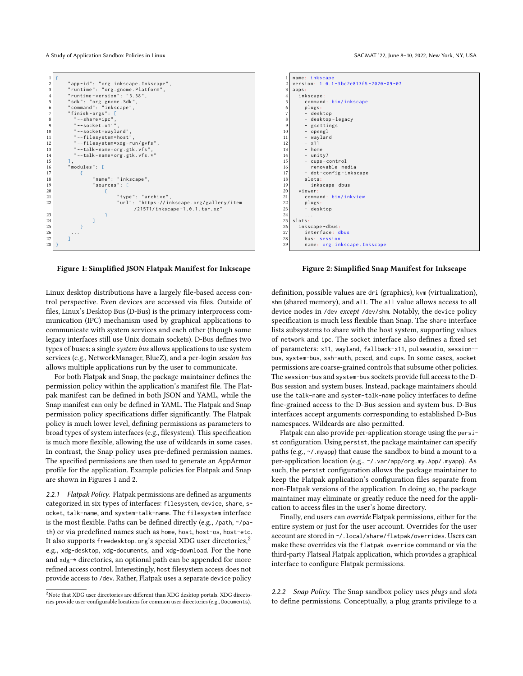<span id="page-2-0"></span>

| $\mathbf{1}$   | Ł                                         |  |  |  |  |  |
|----------------|-------------------------------------------|--|--|--|--|--|
| $\overline{c}$ | "app-id": "org.inkscape.Inkscape",        |  |  |  |  |  |
| 3              | "runtime": "org.gnome.Platform",          |  |  |  |  |  |
| $\overline{4}$ | "runtime-version": "3.38",                |  |  |  |  |  |
| 5              | "sdk": "org.gnome.Sdk",                   |  |  |  |  |  |
| 6              | "command": "inkscape",                    |  |  |  |  |  |
| 7              | "finish-args": [                          |  |  |  |  |  |
| 8              | $"--share=ipc"$ ,                         |  |  |  |  |  |
| 9              | "--socket= $x11"$ ,                       |  |  |  |  |  |
| 10             | "--socket=wayland",                       |  |  |  |  |  |
| 11             | "--filesystem=host",                      |  |  |  |  |  |
| 12             | "--filesystem=xdg-run/gvfs",              |  |  |  |  |  |
| 13             | "--talk-name=org.gtk.vfs",                |  |  |  |  |  |
| 14             | "--talk-name=org.gtk.vfs.*"               |  |  |  |  |  |
| 15             | J,                                        |  |  |  |  |  |
| 16             | "modules": [                              |  |  |  |  |  |
| 17             |                                           |  |  |  |  |  |
| 18             | "name": "inkscape",                       |  |  |  |  |  |
| 19             | "sources": [                              |  |  |  |  |  |
| 20             |                                           |  |  |  |  |  |
| 21             | "type": "archive",                        |  |  |  |  |  |
| 22             | "url": "https://inkscape.org/gallery/item |  |  |  |  |  |
|                | /21571/inkscape-1.0.1.tar.xz"             |  |  |  |  |  |
| 23             | 3                                         |  |  |  |  |  |
| 24             |                                           |  |  |  |  |  |
| 25             |                                           |  |  |  |  |  |
| 26             |                                           |  |  |  |  |  |
| 27             |                                           |  |  |  |  |  |
| 28             |                                           |  |  |  |  |  |

Figure 1: Simplified JSON Flatpak Manifest for Inkscape

Linux desktop distributions have a largely file-based access control perspective. Even devices are accessed via files. Outside of files, Linux's Desktop Bus (D-Bus) is the primary interprocess communication (IPC) mechanism used by graphical applications to communicate with system services and each other (though some legacy interfaces still use Unix domain sockets). D-Bus defines two types of buses: a single system bus allows applications to use system services (e.g., NetworkManager, BlueZ), and a per-login session bus allows multiple applications run by the user to communicate.

For both Flatpak and Snap, the package maintainer defines the permission policy within the application's manifest file. The Flatpak manifest can be defined in both JSON and YAML, while the Snap manifest can only be defined in YAML. The Flatpak and Snap permission policy specifications differ significantly. The Flatpak policy is much lower level, defining permissions as parameters to broad types of system interfaces (e.g., filesystem). This specification is much more flexible, allowing the use of wildcards in some cases. In contrast, the Snap policy uses pre-defined permission names. The specified permissions are then used to generate an AppArmor profile for the application. Example policies for Flatpak and Snap are shown in Figures [1](#page-2-0) and [2.](#page-2-0)

2.2.1 Flatpak Policy. Flatpak permissions are defined as arguments categorized in six types of interfaces: filesystem, device, share, socket, talk-name, and system-talk-name. The filesystem interface is the most flexible. Paths can be defined directly (e.g., /path, ~/path) or via predefined names such as home, host, host-os, host-etc. It also supports freedesktop.org's special XDG user directories,<sup>[2](#page-2-1)</sup> e.g., xdg-desktop, xdg-documents, and xdg-download. For the home and xdg-\* directories, an optional path can be appended for more refined access control. Interestingly, host filesystem access does not provide access to /dev. Rather, Flatpak uses a separate device policy

A Study of Application Sandbox Policies in Linux SACMAT '22, June 8-10, 2022, New York, NY, USA

| $\mathbf{1}$   | name: inkscape                       |  |  |  |
|----------------|--------------------------------------|--|--|--|
| $\overline{c}$ | version: 1.0.1-3bc2e813f5-2020-09-07 |  |  |  |
| 3              | apps:                                |  |  |  |
| $\overline{4}$ | inkscape:                            |  |  |  |
| 5              | command: bin/inkscape                |  |  |  |
| 6              | plugs:                               |  |  |  |
| 7              | - desktop                            |  |  |  |
| 8              | - desktop-legacy                     |  |  |  |
| 9              | - gsettings                          |  |  |  |
| 10             | - opengl                             |  |  |  |
| 11             | - wayland                            |  |  |  |
| 12             | $- x11$                              |  |  |  |
| 13             | $-$ home                             |  |  |  |
| 14             | $-$ unity7                           |  |  |  |
| 15             | - cups-control                       |  |  |  |
| 16             | - removable-media                    |  |  |  |
| 17             | - dot-config-inkscape                |  |  |  |
| 18             | $slots$ :                            |  |  |  |
| 19             | - inkscape-dbus                      |  |  |  |
| 20             | viewer:                              |  |  |  |
| 21             | command: bin/inkview                 |  |  |  |
| 22             | plugs:                               |  |  |  |
| 23             | - desktop                            |  |  |  |
| 24             | .                                    |  |  |  |
| 25             | slots:                               |  |  |  |
| 26             | inkscape-dbus:                       |  |  |  |
| 27             | interface: dbus                      |  |  |  |
| 28             | bus: session                         |  |  |  |
| 29             | name: org.inkscape.Inkscape          |  |  |  |

Figure 2: Simplified Snap Manifest for Inkscape

definition, possible values are dri (graphics), kvm (virtualization), shm (shared memory), and all. The all value allows access to all device nodes in /dev except /dev/shm. Notably, the device policy specification is much less flexible than Snap. The share interface lists subsystems to share with the host system, supporting values of network and ipc. The socket interface also defines a fixed set of parameters: x11, wayland, fallback-x11, pulseaudio, session- bus, system-bus, ssh-auth, pcscd, and cups. In some cases, socket permissions are coarse-grained controls that subsume other policies. The session-bus and system-bus sockets provide full access to the D-Bus session and system buses. Instead, package maintainers should use the talk-name and system-talk-name policy interfaces to define fine-grained access to the D-Bus session and system bus. D-Bus interfaces accept arguments corresponding to established D-Bus namespaces. Wildcards are also permitted.

Flatpak can also provide per-application storage using the persist configuration. Using persist, the package maintainer can specify paths (e.g., ~/.myapp) that cause the sandbox to bind a mount to a per-application location (e.g., ~/.var/app/org.my.App/.myapp). As such, the persist configuration allows the package maintainer to keep the Flatpak application's configuration files separate from non-Flatpak versions of the application. In doing so, the package maintainer may eliminate or greatly reduce the need for the application to access files in the user's home directory.

Finally, end users can override Flatpak permissions, either for the entire system or just for the user account. Overrides for the user account are stored in ~/.local/share/flatpak/overrides. Users can make these overrides via the flatpak override command or via the third-party Flatseal Flatpak application, which provides a graphical interface to configure Flatpak permissions.

2.2.2 Snap Policy. The Snap sandbox policy uses plugs and slots to define permissions. Conceptually, a plug grants privilege to a

<span id="page-2-1"></span><sup>&</sup>lt;sup>2</sup>Note that XDG user directories are different than XDG desktop portals. XDG directories provide user-configurable locations for common user directories (e.g., Documents).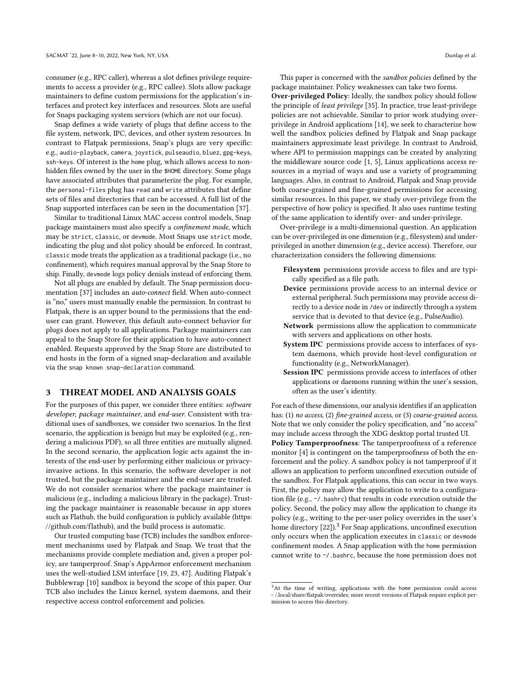consumer (e.g., RPC caller), whereas a slot defines privilege requirements to access a provider (e.g., RPC callee). Slots allow package maintainers to define custom permissions for the application's interfaces and protect key interfaces and resources. Slots are useful for Snaps packaging system services (which are not our focus).

Snap defines a wide variety of plugs that define access to the file system, network, IPC, devices, and other system resources. In contrast to Flatpak permissions, Snap's plugs are very specific: e.g., audio-playback, camera, joystick, pulseaudio, bluez, gpg-keys, ssh-keys. Of interest is the home plug, which allows access to nonhidden files owned by the user in the \$HOME directory. Some plugs have associated attributes that parameterize the plug. For example, the personal-files plug has read and write attributes that define sets of files and directories that can be accessed. A full list of the Snap supported interfaces can be seen in the documentation [\[37\]](#page-11-14).

Similar to traditional Linux MAC access control models, Snap package maintainers must also specify a confinement mode, which may be strict, classic, or devmode. Most Snaps use strict mode, indicating the plug and slot policy should be enforced. In contrast, classic mode treats the application as a traditional package (i.e., no confinement), which requires manual approval by the Snap Store to ship. Finally, devmode logs policy denials instead of enforcing them.

Not all plugs are enabled by default. The Snap permission documentation [\[37\]](#page-11-14) includes an auto-connect field. When auto-connect is "no," users must manually enable the permission. In contrast to Flatpak, there is an upper bound to the permissions that the enduser can grant. However, this default auto-connect behavior for plugs does not apply to all applications. Package maintainers can appeal to the Snap Store for their application to have auto-connect enabled. Requests approved by the Snap Store are distributed to end hosts in the form of a signed snap-declaration and available via the snap known snap-declaration command.

## <span id="page-3-0"></span>3 THREAT MODEL AND ANALYSIS GOALS

For the purposes of this paper, we consider three entities: software developer, package maintainer, and end-user. Consistent with traditional uses of sandboxes, we consider two scenarios. In the first scenario, the application is benign but may be exploited (e.g., rendering a malicious PDF), so all three entities are mutually aligned. In the second scenario, the application logic acts against the interests of the end-user by performing either malicious or privacyinvasive actions. In this scenario, the software developer is not trusted, but the package maintainer and the end-user are trusted. We do not consider scenarios where the package maintainer is malicious (e.g., including a malicious library in the package). Trusting the package maintainer is reasonable because in app stores such as Flathub, the build configuration is publicly available [\(https:](https://github.com/flathub) [//github.com/flathub\)](https://github.com/flathub), and the build process is automatic.

Our trusted computing base (TCB) includes the sandbox enforcement mechanisms used by Flatpak and Snap. We trust that the mechanisms provide complete mediation and, given a proper policy, are tamperproof. Snap's AppArmor enforcement mechanism uses the well-studied LSM interface [\[19,](#page-11-15) [23,](#page-11-16) [47\]](#page-11-17). Auditing Flatpak's Bubblewrap [\[10\]](#page-11-11) sandbox is beyond the scope of this paper. Our TCB also includes the Linux kernel, system daemons, and their respective access control enforcement and policies.

This paper is concerned with the sandbox policies defined by the package maintainer. Policy weaknesses can take two forms.

Over-privileged Policy: Ideally, the sandbox policy should follow the principle of least privilege [\[35\]](#page-11-18). In practice, true least-privilege policies are not achievable. Similar to prior work studying overprivilege in Android applications [\[14\]](#page-11-9), we seek to characterize how well the sandbox policies defined by Flatpak and Snap package maintainers approximate least privilege. In contrast to Android, where API to permission mappings can be created by analyzing the middleware source code [\[1,](#page-11-19) [5\]](#page-11-20), Linux applications access resources in a myriad of ways and use a variety of programming languages. Also, in contrast to Android, Flatpak and Snap provide both coarse-grained and fine-grained permissions for accessing similar resources. In this paper, we study over-privilege from the perspective of how policy is specified. It also uses runtime testing of the same application to identify over- and under-privilege.

Over-privilege is a multi-dimensional question. An application can be over-privileged in one dimension (e.g., filesystem) and underprivileged in another dimension (e.g., device access). Therefore, our characterization considers the following dimensions:

- Filesystem permissions provide access to files and are typically specified as a file path.
- Device permissions provide access to an internal device or external peripheral. Such permissions may provide access directly to a device node in /dev or indirectly through a system service that is devoted to that device (e.g., PulseAudio).
- Network permissions allow the application to communicate with servers and applications on other hosts.
- System IPC permissions provide access to interfaces of system daemons, which provide host-level configuration or functionality (e.g., NetworkManager).
- Session IPC permissions provide access to interfaces of other applications or daemons running within the user's session, often as the user's identity.

For each of these dimensions, our analysis identifies if an application has: (1) no access, (2) fine-grained access, or (3) coarse-grained access. Note that we only consider the policy specification, and "no access" may include access through the XDG desktop portal trusted UI.

Policy Tamperproofness: The tamperproofness of a reference monitor [\[4\]](#page-11-21) is contingent on the tamperproofness of both the enforcement and the policy. A sandbox policy is not tamperproof if it allows an application to perform unconfined execution outside of the sandbox. For Flatpak applications, this can occur in two ways. First, the policy may allow the application to write to a configuration file (e.g., ~/.bashrc) that results in code execution outside the policy. Second, the policy may allow the application to change its policy (e.g., writing to the per-user policy overrides in the user's home directory  $[22]$ ).<sup>[3](#page-3-1)</sup> For Snap applications, unconfined execution only occurs when the application executes in classic or devmode confinement modes. A Snap application with the home permission cannot write to ~/.bashrc, because the home permission does not

<span id="page-3-1"></span><sup>&</sup>lt;sup>3</sup>At the time of writing, applications with the home permission could access ~ /.local/share/flatpak/overrides; more recent versions of Flatpak require explicit permission to access this directory.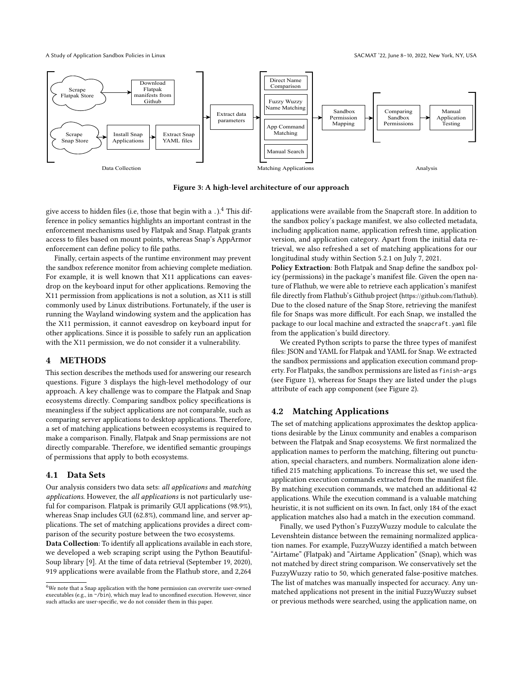A Study of Application Sandbox Policies in Linux SACMAT '22, June 8-10, 2022, New York, NY, USA

<span id="page-4-2"></span>

Figure 3: A high-level architecture of our approach

give access to hidden files (i.e, those that begin with a  $.$  ).<sup>[4](#page-4-1)</sup> This difference in policy semantics highlights an important contrast in the enforcement mechanisms used by Flatpak and Snap. Flatpak grants access to files based on mount points, whereas Snap's AppArmor enforcement can define policy to file paths.

Finally, certain aspects of the runtime environment may prevent the sandbox reference monitor from achieving complete mediation. For example, it is well known that X11 applications can eavesdrop on the keyboard input for other applications. Removing the X11 permission from applications is not a solution, as X11 is still commonly used by Linux distributions. Fortunately, if the user is running the Wayland windowing system and the application has the X11 permission, it cannot eavesdrop on keyboard input for other applications. Since it is possible to safely run an application with the X11 permission, we do not consider it a vulnerability.

# <span id="page-4-0"></span>4 METHODS

This section describes the methods used for answering our research questions. Figure [3](#page-4-2) displays the high-level methodology of our approach. A key challenge was to compare the Flatpak and Snap ecosystems directly. Comparing sandbox policy specifications is meaningless if the subject applications are not comparable, such as comparing server applications to desktop applications. Therefore, a set of matching applications between ecosystems is required to make a comparison. Finally, Flatpak and Snap permissions are not directly comparable. Therefore, we identified semantic groupings of permissions that apply to both ecosystems.

#### 4.1 Data Sets

Our analysis considers two data sets: all applications and matching applications. However, the all applications is not particularly useful for comparison. Flatpak is primarily GUI applications (98.9%), whereas Snap includes GUI (62.8%), command line, and server applications. The set of matching applications provides a direct comparison of the security posture between the two ecosystems.

Data Collection: To identify all applications available in each store, we developed a web scraping script using the Python Beautiful-Soup library [\[9\]](#page-11-23). At the time of data retrieval (September 19, 2020), 919 applications were available from the Flathub store, and 2,264

applications were available from the Snapcraft store. In addition to the sandbox policy's package manifest, we also collected metadata, including application name, application refresh time, application version, and application category. Apart from the initial data retrieval, we also refreshed a set of matching applications for our longitudinal study within Section [5.2.1](#page-7-0) on July 7, 2021.

Policy Extraction: Both Flatpak and Snap define the sandbox policy (permissions) in the package's manifest file. Given the open nature of Flathub, we were able to retrieve each application's manifest file directly from Flathub's Github project (<https://github.com/flathub>). Due to the closed nature of the Snap Store, retrieving the manifest file for Snaps was more difficult. For each Snap, we installed the package to our local machine and extracted the snapcraft.yaml file from the application's build directory.

We created Python scripts to parse the three types of manifest files: JSON and YAML for Flatpak and YAML for Snap. We extracted the sandbox permissions and application execution command property. For Flatpaks, the sandbox permissions are listed as finish-args (see Figure [1\)](#page-2-0), whereas for Snaps they are listed under the plugs attribute of each app component (see Figure [2\)](#page-2-0).

# 4.2 Matching Applications

The set of matching applications approximates the desktop applications desirable by the Linux community and enables a comparison between the Flatpak and Snap ecosystems. We first normalized the application names to perform the matching, filtering out punctuation, special characters, and numbers. Normalization alone identified 215 matching applications. To increase this set, we used the application execution commands extracted from the manifest file. By matching execution commands, we matched an additional 42 applications. While the execution command is a valuable matching heuristic, it is not sufficient on its own. In fact, only 184 of the exact application matches also had a match in the execution command.

Finally, we used Python's FuzzyWuzzy module to calculate the Levenshtein distance between the remaining normalized application names. For example, FuzzyWuzzy identified a match between "Airtame" (Flatpak) and "Airtame Application" (Snap), which was not matched by direct string comparison. We conservatively set the FuzzyWuzzy ratio to 50, which generated false-positive matches. The list of matches was manually inspected for accuracy. Any unmatched applications not present in the initial FuzzyWuzzy subset or previous methods were searched, using the application name, on

<span id="page-4-1"></span> ${}^{4}\mathrm{We}$  note that a Snap application with the home permission can overwrite user-owned executables (e.g., in ~/bin), which may lead to unconfined execution. However, since such attacks are user-specific, we do not consider them in this paper.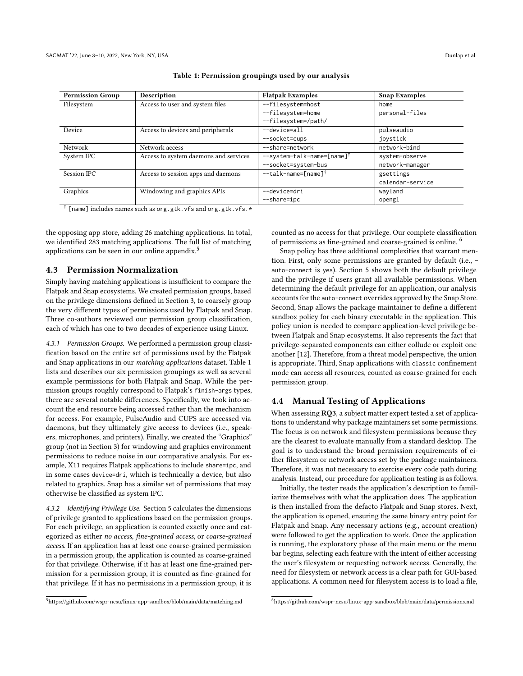<span id="page-5-1"></span>

| <b>Permission Group</b> | Description                           | <b>Flatpak Examples</b>                | <b>Snap Examples</b> |
|-------------------------|---------------------------------------|----------------------------------------|----------------------|
| Filesystem              | Access to user and system files       | --filesystem=host                      | home                 |
|                         |                                       | --filesystem=home                      | personal-files       |
|                         |                                       | --filesystem=/path/                    |                      |
| Device                  | Access to devices and peripherals     | --device=all                           | pulseaudio           |
|                         |                                       | --socket=cups                          | joystick             |
| Network                 | Network access                        | --share=network                        | network-bind         |
| System IPC              | Access to system daemons and services | --system-talk-name=[name] <sup>†</sup> | system-observe       |
|                         |                                       | --socket=system-bus                    | network-manager      |
| Session IPC             | Access to session apps and daemons    | --talk-name=[name] <sup>†</sup>        | gsettings            |
|                         |                                       |                                        | calendar-service     |
| Graphics                | Windowing and graphics APIs           | --device=dri<br>wayland                |                      |
|                         |                                       | --share=ipc                            | opengl               |

#### Table 1: Permission groupings used by our analysis

† [name] includes names such as org.gtk.vfs and org.gtk.vfs.\*

the opposing app store, adding 26 matching applications. In total, we identified 283 matching applications. The full list of matching applications can be seen in our online appendix.[5](#page-5-0)

#### 4.3 Permission Normalization

Simply having matching applications is insufficient to compare the Flatpak and Snap ecosystems. We created permission groups, based on the privilege dimensions defined in Section [3,](#page-3-0) to coarsely group the very different types of permissions used by Flatpak and Snap. Three co-authors reviewed our permission group classification, each of which has one to two decades of experience using Linux.

4.3.1 Permission Groups. We performed a permission group classification based on the entire set of permissions used by the Flatpak and Snap applications in our matching applications dataset. Table [1](#page-5-1) lists and describes our six permission groupings as well as several example permissions for both Flatpak and Snap. While the permission groups roughly correspond to Flatpak's finish-args types, there are several notable differences. Specifically, we took into account the end resource being accessed rather than the mechanism for access. For example, PulseAudio and CUPS are accessed via daemons, but they ultimately give access to devices (i.e., speakers, microphones, and printers). Finally, we created the "Graphics" group (not in Section [3\)](#page-3-0) for windowing and graphics environment permissions to reduce noise in our comparative analysis. For example, X11 requires Flatpak applications to include share=ipc, and in some cases device=dri, which is technically a device, but also related to graphics. Snap has a similar set of permissions that may otherwise be classified as system IPC.

4.3.2 Identifying Privilege Use. Section [5](#page-6-0) calculates the dimensions of privilege granted to applications based on the permission groups. For each privilege, an application is counted exactly once and categorized as either no access, fine-grained access, or coarse-grained access. If an application has at least one coarse-grained permission in a permission group, the application is counted as coarse-grained for that privilege. Otherwise, if it has at least one fine-grained permission for a permission group, it is counted as fine-grained for that privilege. If it has no permissions in a permission group, it is

counted as no access for that privilege. Our complete classification of permissions as fine-grained and coarse-grained is online. [6](#page-5-2)

Snap policy has three additional complexities that warrant mention. First, only some permissions are granted by default (i.e., auto-connect is yes). Section [5](#page-6-0) shows both the default privilege and the privilege if users grant all available permissions. When determining the default privilege for an application, our analysis accounts for the auto-connect overrides approved by the Snap Store. Second, Snap allows the package maintainer to define a different sandbox policy for each binary executable in the application. This policy union is needed to compare application-level privilege between Flatpak and Snap ecosystems. It also represents the fact that privilege-separated components can either collude or exploit one another [\[12\]](#page-11-24). Therefore, from a threat model perspective, the union is appropriate. Third, Snap applications with classic confinement mode can access all resources, counted as coarse-grained for each permission group.

# 4.4 Manual Testing of Applications

When assessing RQ3, a subject matter expert tested a set of applications to understand why package maintainers set some permissions. The focus is on network and filesystem permissions because they are the clearest to evaluate manually from a standard desktop. The goal is to understand the broad permission requirements of either filesystem or network access set by the package maintainers. Therefore, it was not necessary to exercise every code path during analysis. Instead, our procedure for application testing is as follows.

Initially, the tester reads the application's description to familiarize themselves with what the application does. The application is then installed from the defacto Flatpak and Snap stores. Next, the application is opened, ensuring the same binary entry point for Flatpak and Snap. Any necessary actions (e.g., account creation) were followed to get the application to work. Once the application is running, the exploratory phase of the main menu or the menu bar begins, selecting each feature with the intent of either accessing the user's filesystem or requesting network access. Generally, the need for filesystem or network access is a clear path for GUI-based applications. A common need for filesystem access is to load a file,

<span id="page-5-0"></span><sup>5</sup><https://github.com/wspr-ncsu/linux-app-sandbox/blob/main/data/matching.md>

<span id="page-5-2"></span><sup>6</sup><https://github.com/wspr-ncsu/linux-app-sandbox/blob/main/data/permissions.md>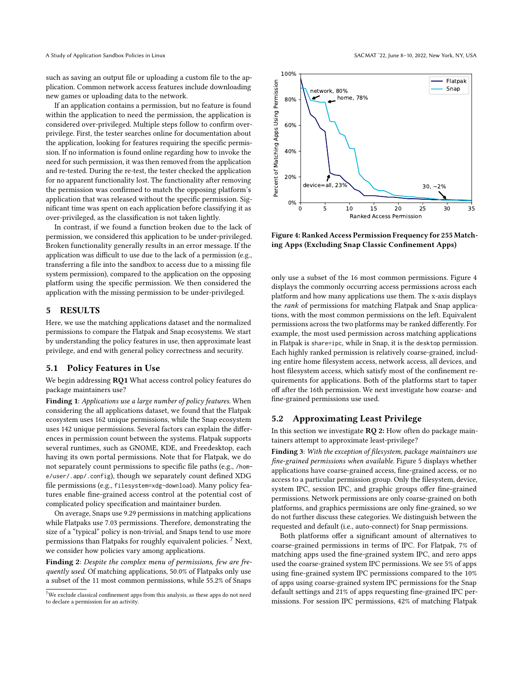such as saving an output file or uploading a custom file to the application. Common network access features include downloading new games or uploading data to the network.

If an application contains a permission, but no feature is found within the application to need the permission, the application is considered over-privileged. Multiple steps follow to confirm overprivilege. First, the tester searches online for documentation about the application, looking for features requiring the specific permission. If no information is found online regarding how to invoke the need for such permission, it was then removed from the application and re-tested. During the re-test, the tester checked the application for no apparent functionality lost. The functionality after removing the permission was confirmed to match the opposing platform's application that was released without the specific permission. Significant time was spent on each application before classifying it as over-privileged, as the classification is not taken lightly.

In contrast, if we found a function broken due to the lack of permission, we considered this application to be under-privileged. Broken functionality generally results in an error message. If the application was difficult to use due to the lack of a permission (e.g., transferring a file into the sandbox to access due to a missing file system permission), compared to the application on the opposing platform using the specific permission. We then considered the application with the missing permission to be under-privileged.

# <span id="page-6-0"></span>5 RESULTS

Here, we use the matching applications dataset and the normalized permissions to compare the Flatpak and Snap ecosystems. We start by understanding the policy features in use, then approximate least privilege, and end with general policy correctness and security.

#### 5.1 Policy Features in Use

We begin addressing RQ1 What access control policy features do package maintainers use?

Finding 1: Applications use a large number of policy features. When considering the all applications dataset, we found that the Flatpak ecosystem uses 162 unique permissions, while the Snap ecosystem uses 142 unique permissions. Several factors can explain the differences in permission count between the systems. Flatpak supports several runtimes, such as GNOME, KDE, and Freedesktop, each having its own portal permissions. Note that for Flatpak, we do not separately count permissions to specific file paths (e.g., /home/user/.app/.config), though we separately count defined XDG file permissions (e.g., filesystem=xdg-download). Many policy features enable fine-grained access control at the potential cost of complicated policy specification and maintainer burden.

On average, Snaps use 9.29 permissions in matching applications while Flatpaks use 7.03 permissions. Therefore, demonstrating the size of a "typical" policy is non-trivial, and Snaps tend to use more permissions than Flatpaks for roughly equivalent policies. [7](#page-6-1) Next, we consider how policies vary among applications.

Finding 2: Despite the complex menu of permissions, few are frequently used. Of matching applications, 50.0% of Flatpaks only use a subset of the 11 most common permissions, while 55.2% of Snaps

<span id="page-6-2"></span>

Figure 4: Ranked Access Permission Frequency for 255 Matching Apps (Excluding Snap Classic Confinement Apps)

only use a subset of the 16 most common permissions. Figure [4](#page-6-2) displays the commonly occurring access permissions across each platform and how many applications use them. The x-axis displays the rank of permissions for matching Flatpak and Snap applications, with the most common permissions on the left. Equivalent permissions across the two platforms may be ranked differently. For example, the most used permission across matching applications in Flatpak is share=ipc, while in Snap, it is the desktop permission. Each highly ranked permission is relatively coarse-grained, including entire home filesystem access, network access, all devices, and host filesystem access, which satisfy most of the confinement requirements for applications. Both of the platforms start to taper off after the 16th permission. We next investigate how coarse- and fine-grained permissions use used.

# 5.2 Approximating Least Privilege

In this section we investigate RQ 2: How often do package maintainers attempt to approximate least-privilege?

Finding 3: With the exception of filesystem, package maintainers use fine-grained permissions when available. Figure [5](#page-7-1) displays whether applications have coarse-grained access, fine-grained access, or no access to a particular permission group. Only the filesystem, device, system IPC, session IPC, and graphic groups offer fine-grained permissions. Network permissions are only coarse-grained on both platforms, and graphics permissions are only fine-grained, so we do not further discuss these categories. We distinguish between the requested and default (i.e., auto-connect) for Snap permissions.

Both platforms offer a significant amount of alternatives to coarse-grained permissions in terms of IPC. For Flatpak, 7% of matching apps used the fine-grained system IPC, and zero apps used the coarse-grained system IPC permissions. We see 5% of apps using fine-grained system IPC permissions compared to the 10% of apps using coarse-grained system IPC permissions for the Snap default settings and 21% of apps requesting fine-grained IPC permissions. For session IPC permissions, 42% of matching Flatpak

<span id="page-6-1"></span> $^7\rm{We}$  exclude classical confinement apps from this analysis, as these apps do not need to declare a permission for an activity.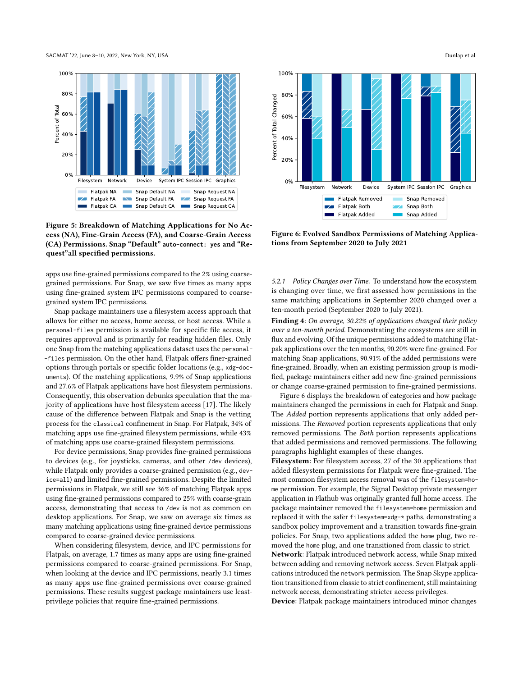SACMAT '22, June 8–10, 2022, New York, NY, USA Dunlap et al.

<span id="page-7-1"></span>

Figure 5: Breakdown of Matching Applications for No Access (NA), Fine-Grain Access (FA), and Coarse-Grain Access (CA) Permissions. Snap "Default" **auto-connect: yes** and "Request"all specified permissions.

apps use fine-grained permissions compared to the 2% using coarsegrained permissions. For Snap, we saw five times as many apps using fine-grained system IPC permissions compared to coarsegrained system IPC permissions.

Snap package maintainers use a filesystem access approach that allows for either no access, home access, or host access. While a personal-files permission is available for specific file access, it requires approval and is primarily for reading hidden files. Only one Snap from the matching applications dataset uses the personal- -files permission. On the other hand, Flatpak offers finer-grained options through portals or specific folder locations (e.g., xdg-documents). Of the matching applications, 9.9% of Snap applications and 27.6% of Flatpak applications have host filesystem permissions. Consequently, this observation debunks speculation that the majority of applications have host filesystem access [\[17\]](#page-11-7). The likely cause of the difference between Flatpak and Snap is the vetting process for the classical confinement in Snap. For Flatpak, 34% of matching apps use fine-grained filesystem permissions, while 43% of matching apps use coarse-grained filesystem permissions.

For device permissions, Snap provides fine-grained permissions to devices (e.g., for joysticks, cameras, and other /dev devices), while Flatpak only provides a coarse-grained permission (e.g., device=all) and limited fine-grained permissions. Despite the limited permissions in Flatpak, we still see 36% of matching Flatpak apps using fine-grained permissions compared to 25% with coarse-grain access, demonstrating that access to /dev is not as common on desktop applications. For Snap, we saw on average six times as many matching applications using fine-grained device permissions compared to coarse-grained device permissions.

When considering filesystem, device, and IPC permissions for Flatpak, on average, 1.7 times as many apps are using fine-grained permissions compared to coarse-grained permissions. For Snap, when looking at the device and IPC permissions, nearly 3.1 times as many apps use fine-grained permissions over coarse-grained permissions. These results suggest package maintainers use leastprivilege policies that require fine-grained permissions.

<span id="page-7-2"></span>

Figure 6: Evolved Sandbox Permissions of Matching Applications from September 2020 to July 2021

<span id="page-7-0"></span>5.2.1 Policy Changes over Time. To understand how the ecosystem is changing over time, we first assessed how permissions in the same matching applications in September 2020 changed over a ten-month period (September 2020 to July 2021).

Finding 4: On average, 30.22% of applications changed their policy over a ten-month period. Demonstrating the ecosystems are still in flux and evolving. Of the unique permissions added to matching Flatpak applications over the ten months, 90.20% were fine-grained. For matching Snap applications, 90.91% of the added permissions were fine-grained. Broadly, when an existing permission group is modified, package maintainers either add new fine-grained permissions or change coarse-grained permission to fine-grained permissions.

Figure [6](#page-7-2) displays the breakdown of categories and how package maintainers changed the permissions in each for Flatpak and Snap. The Added portion represents applications that only added permissions. The Removed portion represents applications that only removed permissions. The Both portion represents applications that added permissions and removed permissions. The following paragraphs highlight examples of these changes.

Filesystem: For filesystem access, 27 of the 30 applications that added filesystem permissions for Flatpak were fine-grained. The most common filesystem access removal was of the filesystem=home permission. For example, the Signal Desktop private messenger application in Flathub was originally granted full home access. The package maintainer removed the filesystem=home permission and replaced it with the safer filesystem=xdg-\* paths, demonstrating a sandbox policy improvement and a transition towards fine-grain policies. For Snap, two applications added the home plug, two removed the home plug, and one transitioned from classic to strict.

Network: Flatpak introduced network access, while Snap mixed between adding and removing network access. Seven Flatpak applications introduced the network permission. The Snap Skype application transitioned from classic to strict confinement, still maintaining network access, demonstrating stricter access privileges.

Device: Flatpak package maintainers introduced minor changes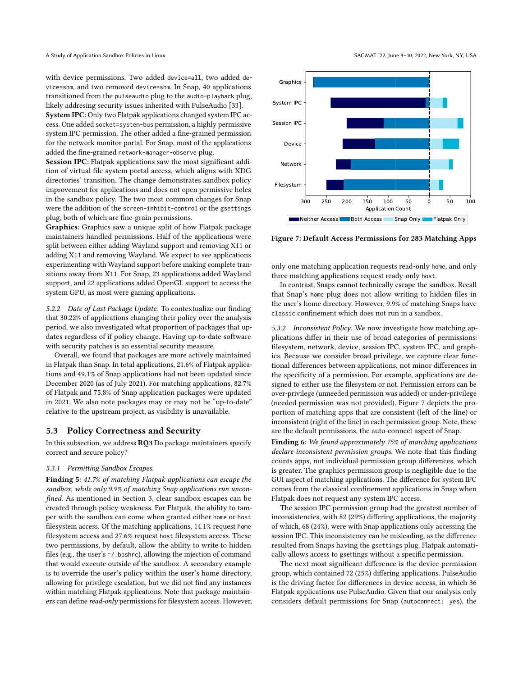with device permissions. Two added device=all, two added device=shm, and two removed device=shm. In Snap, 40 applications transitioned from the pulseaudio plug to the audio-playback plug, likely addresing security issues inherited with PulseAudio [\[33\]](#page-11-25).

System IPC: Only two Flatpak applications changed system IPC access. One added socket=system-bus permission, a highly permissive system IPC permission. The other added a fine-grained permission for the network monitor portal. For Snap, most of the applications added the fine-grained network-manager-observe plug.

Session IPC: Flatpak applications saw the most significant addition of virtual file system portal access, which aligns with XDG directories' transition. The change demonstrates sandbox policy improvement for applications and does not open permissive holes in the sandbox policy. The two most common changes for Snap were the addition of the screen-inhibit-control or the gsettings plug, both of which are fine-grain permissions.

Graphics: Graphics saw a unique split of how Flatpak package maintainers handled permissions. Half of the applications were split between either adding Wayland support and removing X11 or adding X11 and removing Wayland. We expect to see applications experimenting with Wayland support before making complete transitions away from X11. For Snap, 23 applications added Wayland support, and 22 applications added OpenGL support to access the system GPU, as most were gaming applications.

5.2.2 Date of Last Package Update. To contextualize our finding that 30.22% of applications changing their policy over the analysis period, we also investigated what proportion of packages that updates regardless of if policy change. Having up-to-date software with security patches is an essential security measure.

Overall, we found that packages are more actively maintained in Flatpak than Snap. In total applications, 21.6% of Flatpak applications and 49.1% of Snap applications had not been updated since December 2020 (as of July 2021). For matching applications, 82.7% of Flatpak and 75.8% of Snap application packages were updated in 2021. We also note packages may or may not be "up-to-date" relative to the upstream project, as visibility is unavailable.

# 5.3 Policy Correctness and Security

In this subsection, we address RQ3 Do package maintainers specify correct and secure policy?

## 5.3.1 Permitting Sandbox Escapes.

Finding 5: 41.7% of matching Flatpak applications can escape the sandbox, while only 9.9% of matching Snap applications run unconfined. As mentioned in Section 3, clear sandbox escapes can be created through policy weakness. For Flatpak, the ability to tamper with the sandbox can come when granted either home or host filesystem access. Of the matching applications, 14.1% request home filesystem access and 27.6% request host filesystem access. These two permissions, by default, allow the ability to write to hidden files (e.g., the user's ~/.bashrc), allowing the injection of command that would execute outside of the sandbox. A secondary example is to override the user's policy within the user's home directory, allowing for privilege escalation, but we did not find any instances within matching Flatpak applications. Note that package maintainers can define read-only permissions for filesystem access. However,

<span id="page-8-0"></span>

Figure 7: Default Access Permissions for 283 Matching Apps

only one matching application requests read-only home, and only three matching applications request ready-only host.

In contrast, Snaps cannot technically escape the sandbox. Recall that Snap's home plug does not allow writing to hidden files in the user's home directory. However, 9.9% of matching Snaps have classic confinement which does not run in a sandbox.

5.3.2 Inconsistent Policy. We now investigate how matching applications differ in their use of broad categories of permissions: filesystem, network, device, session IPC, system IPC, and graphics. Because we consider broad privilege, we capture clear functional differences between applications, not minor differences in the specificity of a permission. For example, applications are designed to either use the filesystem or not. Permission errors can be over-privilege (unneeded permission was added) or under-privilege (needed permission was not provided). Figure [7](#page-8-0) depicts the proportion of matching apps that are consistent (left of the line) or inconsistent (right of the line) in each permission group. Note, these are the default permissions, the auto-connect aspect of Snap.

Finding 6: We found approximately 75% of matching applications declare inconsistent permission groups. We note that this finding counts apps, not individual permission group differences, which is greater. The graphics permission group is negligible due to the GUI aspect of matching applications. The difference for system IPC comes from the classical confinement applications in Snap when Flatpak does not request any system IPC access.

The session IPC permission group had the greatest number of inconsistencies, with 82 (29%) differing applications, the majority of which, 68 (24%), were with Snap applications only accessing the session IPC. This inconsistency can be misleading, as the difference resulted from Snaps having the gsettings plug. Flatpak automatically allows access to gsettings without a specific permission.

The next most significant difference is the device permission group, which contained 72 (25%) differing applications. PulseAudio is the driving factor for differences in device access, in which 36 Flatpak applications use PulseAudio. Given that our analysis only considers default permissions for Snap (autoconnect: yes), the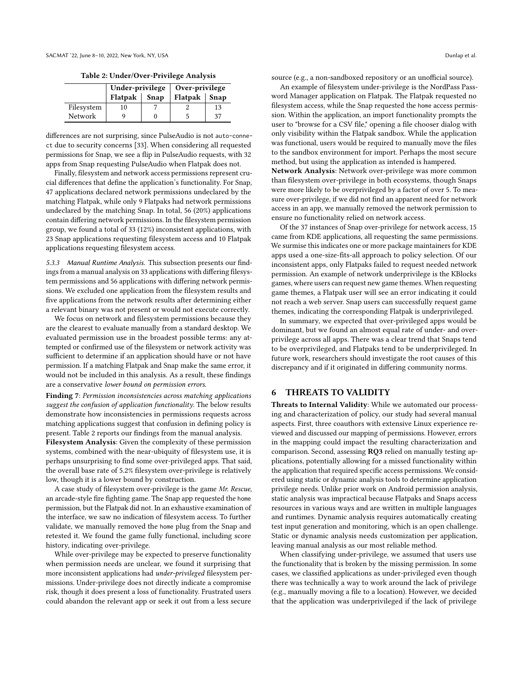Table 2: Under/Over-Privilege Analysis

<span id="page-9-1"></span>

|            | Under-privilege |  | Over-privilege       |    |
|------------|-----------------|--|----------------------|----|
|            | Flatpak   Snap  |  | Flatpak $\vert$ Snap |    |
| Filesystem | 10              |  |                      | 13 |
| Network    |                 |  |                      | 37 |

differences are not surprising, since PulseAudio is not auto-connect due to security concerns [\[33\]](#page-11-25). When considering all requested permissions for Snap, we see a flip in PulseAudio requests, with 32 apps from Snap requesting PulseAudio when Flatpak does not.

Finally, filesystem and network access permissions represent crucial differences that define the application's functionality. For Snap, 47 applications declared network permissions undeclared by the matching Flatpak, while only 9 Flatpaks had network permissions undeclared by the matching Snap. In total, 56 (20%) applications contain differing network permissions. In the filesystem permission group, we found a total of 33 (12%) inconsistent applications, with 23 Snap applications requesting filesystem access and 10 Flatpak applications requesting filesystem access.

5.3.3 Manual Runtime Analysis. This subsection presents our findings from a manual analysis on 33 applications with differing filesystem permissions and 56 applications with differing network permissions. We excluded one application from the filesystem results and five applications from the network results after determining either a relevant binary was not present or would not execute correctly.

We focus on network and filesystem permissions because they are the clearest to evaluate manually from a standard desktop. We evaluated permission use in the broadest possible terms: any attempted or confirmed use of the filesystem or network activity was sufficient to determine if an application should have or not have permission. If a matching Flatpak and Snap make the same error, it would not be included in this analysis. As a result, these findings are a conservative lower bound on permission errors.

Finding 7: Permission inconsistencies across matching applications suggest the confusion of application functionality. The below results demonstrate how inconsistencies in permissions requests across matching applications suggest that confusion in defining policy is present. Table [2](#page-9-1) reports our findings from the manual analysis.

Filesystem Analysis: Given the complexity of these permission systems, combined with the near-ubiquity of filesystem use, it is perhaps unsurprising to find some over-privileged apps. That said, the overall base rate of 5.2% filesystem over-privilege is relatively low, though it is a lower bound by construction.

A case study of filesystem over-privilege is the game Mr. Rescue, an arcade-style fire fighting game. The Snap app requested the home permission, but the Flatpak did not. In an exhaustive examination of the interface, we saw no indication of filesystem access. To further validate, we manually removed the home plug from the Snap and retested it. We found the game fully functional, including score history, indicating over-privilege.

While over-privilege may be expected to preserve functionality when permission needs are unclear, we found it surprising that more inconsistent applications had under-privileged filesystem permissions. Under-privilege does not directly indicate a compromise risk, though it does present a loss of functionality. Frustrated users could abandon the relevant app or seek it out from a less secure

source (e.g., a non-sandboxed repository or an unofficial source).

An example of filesystem under-privilege is the NordPass Password Manager application on Flatpak. The Flatpak requested no filesystem access, while the Snap requested the home access permission. Within the application, an import functionality prompts the user to "browse for a CSV file," opening a file chooser dialog with only visibility within the Flatpak sandbox. While the application was functional, users would be required to manually move the files to the sandbox environment for import. Perhaps the most secure method, but using the application as intended is hampered.

Network Analysis: Network over-privilege was more common than filesystem over-privilege in both ecosystems, though Snaps were more likely to be overprivileged by a factor of over 5. To measure over-privilege, if we did not find an apparent need for network access in an app, we manually removed the network permission to ensure no functionality relied on network access.

Of the 37 instances of Snap over-privilege for network access, 15 came from KDE applications, all requesting the same permissions. We surmise this indicates one or more package maintainers for KDE apps used a one-size-fits-all approach to policy selection. Of our inconsistent apps, only Flatpaks failed to request needed network permission. An example of network underprivilege is the KBlocks games, where users can request new game themes. When requesting game themes, a Flatpak user will see an error indicating it could not reach a web server. Snap users can successfully request game themes, indicating the corresponding Flatpak is underprivileged.

In summary, we expected that over-privileged apps would be dominant, but we found an almost equal rate of under- and overprivilege across all apps. There was a clear trend that Snaps tend to be overprivileged, and Flatpaks tend to be underprivileged. In future work, researchers should investigate the root causes of this discrepancy and if it originated in differing community norms.

# <span id="page-9-0"></span>6 THREATS TO VALIDITY

Threats to Internal Validity: While we automated our processing and characterization of policy, our study had several manual aspects. First, three coauthors with extensive Linux experience reviewed and discussed our mapping of permissions. However, errors in the mapping could impact the resulting characterization and comparison. Second, assessing RQ3 relied on manually testing applications, potentially allowing for a missed functionality within the application that required specific access permissions. We considered using static or dynamic analysis tools to determine application privilege needs. Unlike prior work on Android permission analysis, static analysis was impractical because Flatpaks and Snaps access resources in various ways and are written in multiple languages and runtimes. Dynamic analysis requires automatically creating test input generation and monitoring, which is an open challenge. Static or dynamic analysis needs customization per application, leaving manual analysis as our most reliable method.

When classifying under-privilege, we assumed that users use the functionality that is broken by the missing permission. In some cases, we classified applications as under-privileged even though there was technically a way to work around the lack of privilege (e.g., manually moving a file to a location). However, we decided that the application was underprivileged if the lack of privilege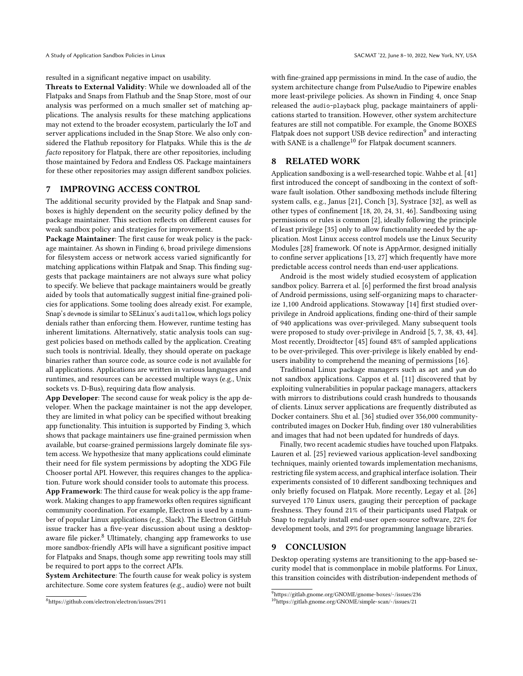resulted in a significant negative impact on usability.

Threats to External Validity: While we downloaded all of the Flatpaks and Snaps from Flathub and the Snap Store, most of our analysis was performed on a much smaller set of matching applications. The analysis results for these matching applications may not extend to the broader ecosystem, particularly the IoT and server applications included in the Snap Store. We also only considered the Flathub repository for Flatpaks. While this is the de facto repository for Flatpak, there are other repositories, including those maintained by Fedora and Endless OS. Package maintainers for these other repositories may assign different sandbox policies.

## <span id="page-10-0"></span>7 IMPROVING ACCESS CONTROL

The additional security provided by the Flatpak and Snap sandboxes is highly dependent on the security policy defined by the package maintainer. This section reflects on different causes for weak sandbox policy and strategies for improvement.

Package Maintainer: The first cause for weak policy is the package maintainer. As shown in Finding 6, broad privilege dimensions for filesystem access or network access varied significantly for matching applications within Flatpak and Snap. This finding suggests that package maintainers are not always sure what policy to specify. We believe that package maintainers would be greatly aided by tools that automatically suggest initial fine-grained policies for applications. Some tooling does already exist. For example, Snap's devmode is similar to SELinux's auditallow, which logs policy denials rather than enforcing them. However, runtime testing has inherent limitations. Alternatively, static analysis tools can suggest policies based on methods called by the application. Creating such tools is nontrivial. Ideally, they should operate on package binaries rather than source code, as source code is not available for all applications. Applications are written in various languages and runtimes, and resources can be accessed multiple ways (e.g., Unix sockets vs. D-Bus), requiring data flow analysis.

App Developer: The second cause for weak policy is the app developer. When the package maintainer is not the app developer, they are limited in what policy can be specified without breaking app functionality. This intuition is supported by Finding 3, which shows that package maintainers use fine-grained permission when available, but coarse-grained permissions largely dominate file system access. We hypothesize that many applications could eliminate their need for file system permissions by adopting the XDG File Chooser portal API. However, this requires changes to the application. Future work should consider tools to automate this process.

App Framework: The third cause for weak policy is the app framework. Making changes to app frameworks often requires significant community coordination. For example, Electron is used by a number of popular Linux applications (e.g., Slack). The Electron GitHub issue tracker has a five-year discussion about using a desktop-aware file picker.<sup>[8](#page-10-3)</sup> Ultimately, changing app frameworks to use more sandbox-friendly APIs will have a significant positive impact for Flatpaks and Snaps, though some app rewriting tools may still be required to port apps to the correct APIs.

System Architecture: The fourth cause for weak policy is system architecture. Some core system features (e.g., audio) were not built

with fine-grained app permissions in mind. In the case of audio, the system architecture change from PulseAudio to Pipewire enables more least-privilege policies. As shown in Finding 4, once Snap released the audio-playback plug, package maintainers of applications started to transition. However, other system architecture features are still not compatible. For example, the Gnome BOXES Flatpak does not support USB device redirection $^9$  $^9$  and interacting with SANE is a challenge<sup>[10](#page-10-5)</sup> for Flatpak document scanners.

# <span id="page-10-1"></span>8 RELATED WORK

Application sandboxing is a well-researched topic. Wahbe et al. [\[41\]](#page-11-26) first introduced the concept of sandboxing in the context of software fault isolation. Other sandboxing methods include filtering system calls, e.g., Janus [\[21\]](#page-11-27), Conch [\[3\]](#page-11-28), Systrace [\[32\]](#page-11-29), as well as other types of confinement [\[18,](#page-11-30) [20,](#page-11-31) [24,](#page-11-32) [31,](#page-11-33) [46\]](#page-11-34). Sandboxing using permissions or rules is common [\[2\]](#page-11-35), ideally following the principle of least privilege [\[35\]](#page-11-18) only to allow functionality needed by the application. Most Linux access control models use the Linux Security Modules [\[28\]](#page-11-36) framework. Of note is AppArmor, designed initially to confine server applications [\[13,](#page-11-37) [27\]](#page-11-38) which frequently have more predictable access control needs than end-user applications.

Android is the most widely studied ecosystem of application sandbox policy. Barrera et al. [\[6\]](#page-11-39) performed the first broad analysis of Android permissions, using self-organizing maps to characterize 1,100 Android applications. Stowaway [\[14\]](#page-11-9) first studied overprivilege in Android applications, finding one-third of their sample of 940 applications was over-privileged. Many subsequent tools were proposed to study over-privilege in Android [\[5,](#page-11-20) [7,](#page-11-40) [38,](#page-11-10) [43,](#page-11-41) [44\]](#page-11-42). Most recently, Droidtector [\[45\]](#page-11-43) found 48% of sampled applications to be over-privileged. This over-privilege is likely enabled by endusers inability to comprehend the meaning of permissions [\[16\]](#page-11-2).

Traditional Linux package managers such as apt and yum do not sandbox applications. Cappos et al. [\[11\]](#page-11-44) discovered that by exploiting vulnerabilities in popular package managers, attackers with mirrors to distributions could crash hundreds to thousands of clients. Linux server applications are frequently distributed as Docker containers. Shu et al. [\[36\]](#page-11-45) studied over 356,000 communitycontributed images on Docker Hub, finding over 180 vulnerabilities and images that had not been updated for hundreds of days.

Finally, two recent academic studies have touched upon Flatpaks. Lauren et al. [\[25\]](#page-11-46) reviewed various application-level sandboxing techniques, mainly oriented towards implementation mechanisms, restricting file system access, and graphical interface isolation. Their experiments consisted of 10 different sandboxing techniques and only briefly focused on Flatpak. More recently, Legay et al. [\[26\]](#page-11-47) surveyed 170 Linux users, gauging their perception of package freshness. They found 21% of their participants used Flatpak or Snap to regularly install end-user open-source software, 22% for development tools, and 29% for programming language libraries.

#### <span id="page-10-2"></span>9 CONCLUSION

Desktop operating systems are transitioning to the app-based security model that is commonplace in mobile platforms. For Linux, this transition coincides with distribution-independent methods of

<span id="page-10-3"></span><sup>8</sup><https://github.com/electron/electron/issues/2911>

<span id="page-10-4"></span> $^9$ <https://gitlab.gnome.org/GNOME/gnome-boxes/-/issues/236>

<span id="page-10-5"></span><sup>10</sup><https://gitlab.gnome.org/GNOME/simple-scan/-/issues/21>